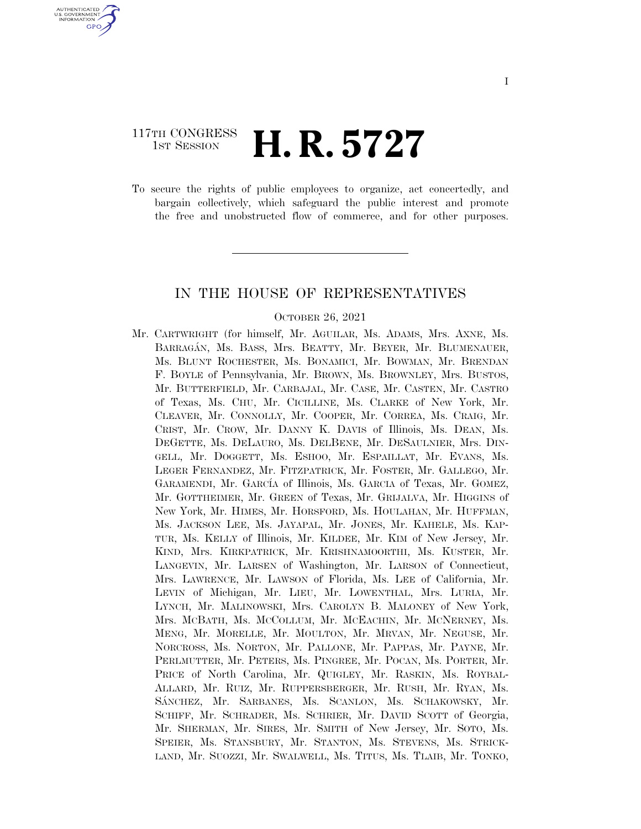### 117TH CONGRESS **1st Session H. R. 5727**

U.S. GOVERNMENT **GPO** 

> To secure the rights of public employees to organize, act concertedly, and bargain collectively, which safeguard the public interest and promote the free and unobstructed flow of commerce, and for other purposes.

#### IN THE HOUSE OF REPRESENTATIVES

#### OCTOBER 26, 2021

Mr. CARTWRIGHT (for himself, Mr. AGUILAR, Ms. ADAMS, Mrs. AXNE, Ms. BARRAGA´N, Ms. BASS, Mrs. BEATTY, Mr. BEYER, Mr. BLUMENAUER, Ms. BLUNT ROCHESTER, Ms. BONAMICI, Mr. BOWMAN, Mr. BRENDAN F. BOYLE of Pennsylvania, Mr. BROWN, Ms. BROWNLEY, Mrs. BUSTOS, Mr. BUTTERFIELD, Mr. CARBAJAL, Mr. CASE, Mr. CASTEN, Mr. CASTRO of Texas, Ms. CHU, Mr. CICILLINE, Ms. CLARKE of New York, Mr. CLEAVER, Mr. CONNOLLY, Mr. COOPER, Mr. CORREA, Ms. CRAIG, Mr. CRIST, Mr. CROW, Mr. DANNY K. DAVIS of Illinois, Ms. DEAN, Ms. DEGETTE, Ms. DELAURO, Ms. DELBENE, Mr. DESAULNIER, Mrs. DIN-GELL, Mr. DOGGETT, Ms. ESHOO, Mr. ESPAILLAT, Mr. EVANS, Ms. LEGER FERNANDEZ, Mr. FITZPATRICK, Mr. FOSTER, Mr. GALLEGO, Mr. GARAMENDI, Mr. GARCÍA of Illinois, Ms. GARCIA of Texas, Mr. GOMEZ, Mr. GOTTHEIMER, Mr. GREEN of Texas, Mr. GRIJALVA, Mr. HIGGINS of New York, Mr. HIMES, Mr. HORSFORD, Ms. HOULAHAN, Mr. HUFFMAN, Ms. JACKSON LEE, Ms. JAYAPAL, Mr. JONES, Mr. KAHELE, Ms. KAP-TUR, Ms. KELLY of Illinois, Mr. KILDEE, Mr. KIM of New Jersey, Mr. KIND, Mrs. KIRKPATRICK, Mr. KRISHNAMOORTHI, Ms. KUSTER, Mr. LANGEVIN, Mr. LARSEN of Washington, Mr. LARSON of Connecticut, Mrs. LAWRENCE, Mr. LAWSON of Florida, Ms. LEE of California, Mr. LEVIN of Michigan, Mr. LIEU, Mr. LOWENTHAL, Mrs. LURIA, Mr. LYNCH, Mr. MALINOWSKI, Mrs. CAROLYN B. MALONEY of New York, Mrs. MCBATH, Ms. MCCOLLUM, Mr. MCEACHIN, Mr. MCNERNEY, Ms. MENG, Mr. MORELLE, Mr. MOULTON, Mr. MRVAN, Mr. NEGUSE, Mr. NORCROSS, Ms. NORTON, Mr. PALLONE, Mr. PAPPAS, Mr. PAYNE, Mr. PERLMUTTER, Mr. PETERS, Ms. PINGREE, Mr. POCAN, Ms. PORTER, Mr. PRICE of North Carolina, Mr. QUIGLEY, Mr. RASKIN, Ms. ROYBAL-ALLARD, Mr. RUIZ, Mr. RUPPERSBERGER, Mr. RUSH, Mr. RYAN, Ms. SA´NCHEZ, Mr. SARBANES, Ms. SCANLON, Ms. SCHAKOWSKY, Mr. SCHIFF, Mr. SCHRADER, Ms. SCHRIER, Mr. DAVID SCOTT of Georgia, Mr. SHERMAN, Mr. SIRES, Mr. SMITH of New Jersey, Mr. SOTO, Ms. SPEIER, Ms. STANSBURY, Mr. STANTON, Ms. STEVENS, Ms. STRICK-LAND, Mr. SUOZZI, Mr. SWALWELL, Ms. TITUS, Ms. TLAIB, Mr. TONKO,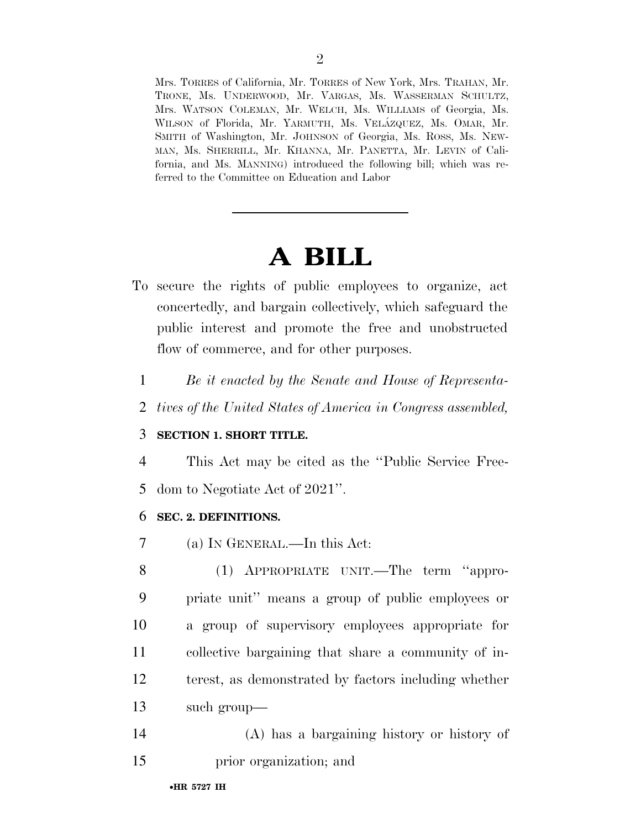Mrs. TORRES of California, Mr. TORRES of New York, Mrs. TRAHAN, Mr. TRONE, Ms. UNDERWOOD, Mr. VARGAS, Ms. WASSERMAN SCHULTZ, Mrs. WATSON COLEMAN, Mr. WELCH, Ms. WILLIAMS of Georgia, Ms. WILSON of Florida, Mr. YARMUTH, Ms. VELÁZQUEZ, Ms. OMAR, Mr. SMITH of Washington, Mr. JOHNSON of Georgia, Ms. ROSS, Ms. NEW-MAN, Ms. SHERRILL, Mr. KHANNA, Mr. PANETTA, Mr. LEVIN of California, and Ms. MANNING) introduced the following bill; which was referred to the Committee on Education and Labor

# **A BILL**

- To secure the rights of public employees to organize, act concertedly, and bargain collectively, which safeguard the public interest and promote the free and unobstructed flow of commerce, and for other purposes.
- 1 *Be it enacted by the Senate and House of Representa-*
- 2 *tives of the United States of America in Congress assembled,*

#### 3 **SECTION 1. SHORT TITLE.**

4 This Act may be cited as the ''Public Service Free-5 dom to Negotiate Act of 2021''.

#### 6 **SEC. 2. DEFINITIONS.**

7 (a) IN GENERAL.—In this Act:

 (1) APPROPRIATE UNIT.—The term ''appro- priate unit'' means a group of public employees or a group of supervisory employees appropriate for collective bargaining that share a community of in- terest, as demonstrated by factors including whether such group—

14 (A) has a bargaining history or history of 15 prior organization; and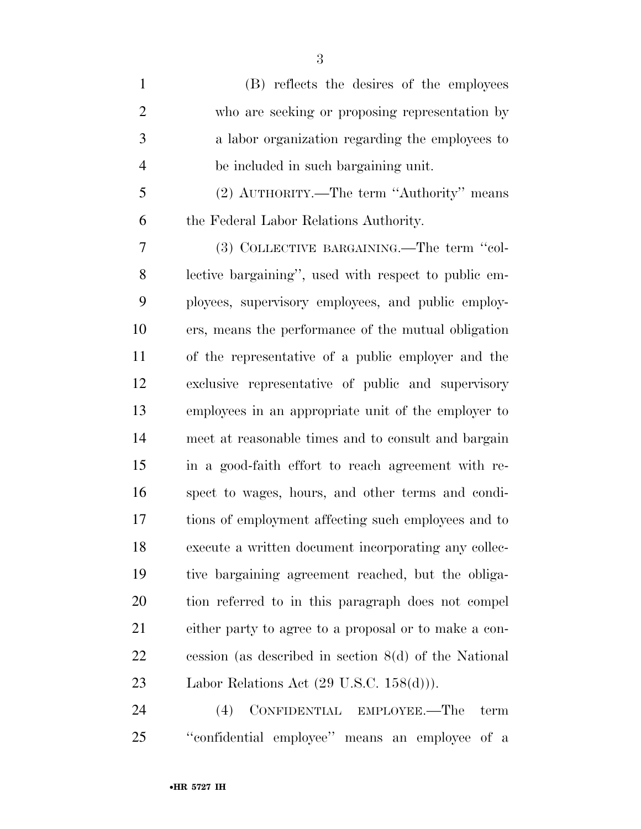(B) reflects the desires of the employees who are seeking or proposing representation by a labor organization regarding the employees to be included in such bargaining unit. (2) AUTHORITY.—The term ''Authority'' means the Federal Labor Relations Authority. (3) COLLECTIVE BARGAINING.—The term ''col-

 lective bargaining'', used with respect to public em- ployees, supervisory employees, and public employ- ers, means the performance of the mutual obligation of the representative of a public employer and the exclusive representative of public and supervisory employees in an appropriate unit of the employer to meet at reasonable times and to consult and bargain in a good-faith effort to reach agreement with re- spect to wages, hours, and other terms and condi- tions of employment affecting such employees and to execute a written document incorporating any collec- tive bargaining agreement reached, but the obliga- tion referred to in this paragraph does not compel either party to agree to a proposal or to make a con- cession (as described in section 8(d) of the National 23 Labor Relations Act (29 U.S.C. 158(d)).

 (4) CONFIDENTIAL EMPLOYEE.—The term ''confidential employee'' means an employee of a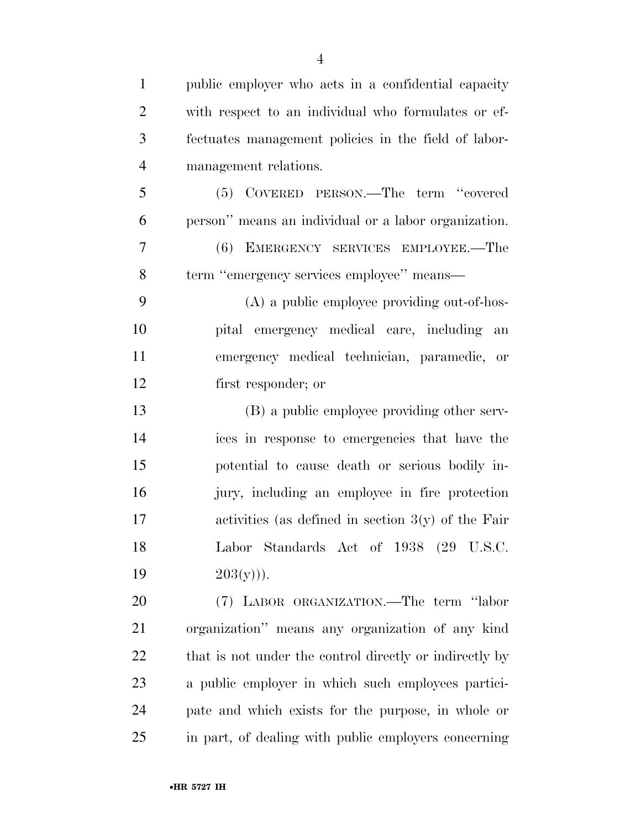| $\mathbf{1}$   | public employer who acts in a confidential capacity     |
|----------------|---------------------------------------------------------|
| $\overline{2}$ | with respect to an individual who formulates or ef-     |
| 3              | fectuates management policies in the field of labor-    |
| $\overline{4}$ | management relations.                                   |
| 5              | (5) COVERED PERSON.—The term "covered                   |
| 6              | person" means an individual or a labor organization.    |
| $\overline{7}$ | (6) EMERGENCY SERVICES EMPLOYEE.—The                    |
| 8              | term "emergency services employee" means—               |
| 9              | (A) a public employee providing out-of-hos-             |
| 10             | pital emergency medical care, including an              |
| 11             | emergency medical technician, paramedic, or             |
| 12             | first responder; or                                     |
| 13             | (B) a public employee providing other serv-             |
| 14             | ices in response to emergencies that have the           |
| 15             | potential to cause death or serious bodily in-          |
| 16             | jury, including an employee in fire protection          |
| 17             | activities (as defined in section $3(y)$ of the Fair    |
| 18             | Labor Standards Act of 1938 (29 U.S.C.                  |
| 19             | $203(y))$ .                                             |
| 20             | (7) LABOR ORGANIZATION.—The term "labor                 |
| 21             | organization" means any organization of any kind        |
| 22             | that is not under the control directly or indirectly by |
| 23             | a public employer in which such employees partici-      |
| 24             | pate and which exists for the purpose, in whole or      |
| 25             | in part, of dealing with public employers concerning    |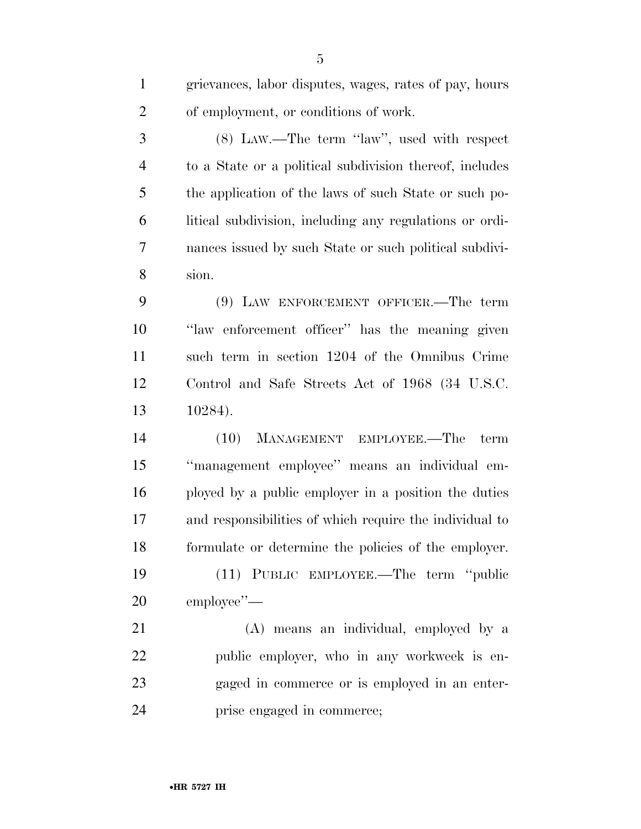| $\mathbf{1}$   | grievances, labor disputes, wages, rates of pay, hours  |
|----------------|---------------------------------------------------------|
| $\overline{2}$ | of employment, or conditions of work.                   |
| 3              | (8) LAW.—The term "law", used with respect              |
| $\overline{4}$ | to a State or a political subdivision thereof, includes |
| 5              | the application of the laws of such State or such po-   |
| 6              | litical subdivision, including any regulations or ordi- |
| 7              | nances issued by such State or such political subdivi-  |
| 8              | sion.                                                   |
| 9              | (9) LAW ENFORCEMENT OFFICER.—The term                   |
| 10             | "law enforcement officer" has the meaning given         |
| 11             | such term in section 1204 of the Omnibus Crime          |
| 12             | Control and Safe Streets Act of 1968 (34 U.S.C.         |
| 13             | 10284).                                                 |
| 14             | (10)<br>MANAGEMENT EMPLOYEE.—The term                   |
| 15             | "management employee" means an individual em-           |
| 16             | ployed by a public employer in a position the duties    |
| 17             | and responsibilities of which require the individual to |
| 18             | formulate or determine the policies of the employer.    |
| 19             | (11) PUBLIC EMPLOYEE.—The term "public                  |
| 20             | employee"—                                              |
| 21             | (A) means an individual, employed by a                  |
| 22             | public employer, who in any workweek is en-             |
| 23             | gaged in commerce or is employed in an enter-           |

•**HR 5727 IH**

prise engaged in commerce;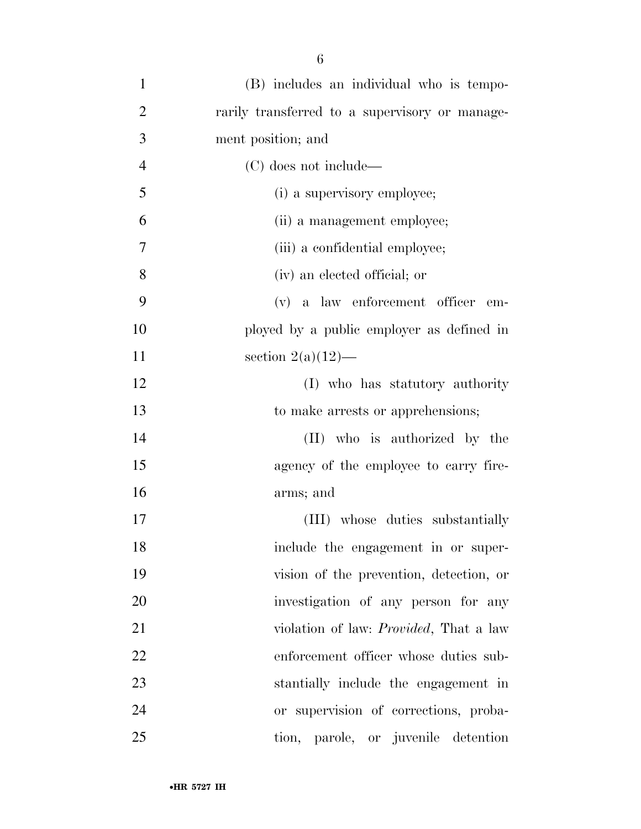| $\mathbf{1}$   | (B) includes an individual who is tempo-       |
|----------------|------------------------------------------------|
| $\overline{2}$ | rarily transferred to a supervisory or manage- |
| 3              | ment position; and                             |
| $\overline{4}$ | (C) does not include—                          |
| 5              | (i) a supervisory employee;                    |
| 6              | (ii) a management employee;                    |
| 7              | (iii) a confidential employee;                 |
| 8              | (iv) an elected official; or                   |
| 9              | (v) a law enforcement officer<br>em-           |
| 10             | ployed by a public employer as defined in      |
| 11             | section $2(a)(12)$ —                           |
| 12             | (I) who has statutory authority                |
| 13             | to make arrests or apprehensions;              |
| 14             | (II) who is authorized by the                  |
| 15             | agency of the employee to carry fire-          |
| 16             | arms; and                                      |
| 17             | (III) whose duties substantially               |
| 18             | include the engagement in or super-            |
| 19             | vision of the prevention, detection, or        |
| 20             | investigation of any person for any            |
| 21             | violation of law: <i>Provided</i> , That a law |
| 22             | enforcement officer whose duties sub-          |
| 23             | stantially include the engagement in           |
| 24             | or supervision of corrections, proba-          |
| 25             | tion, parole, or juvenile detention            |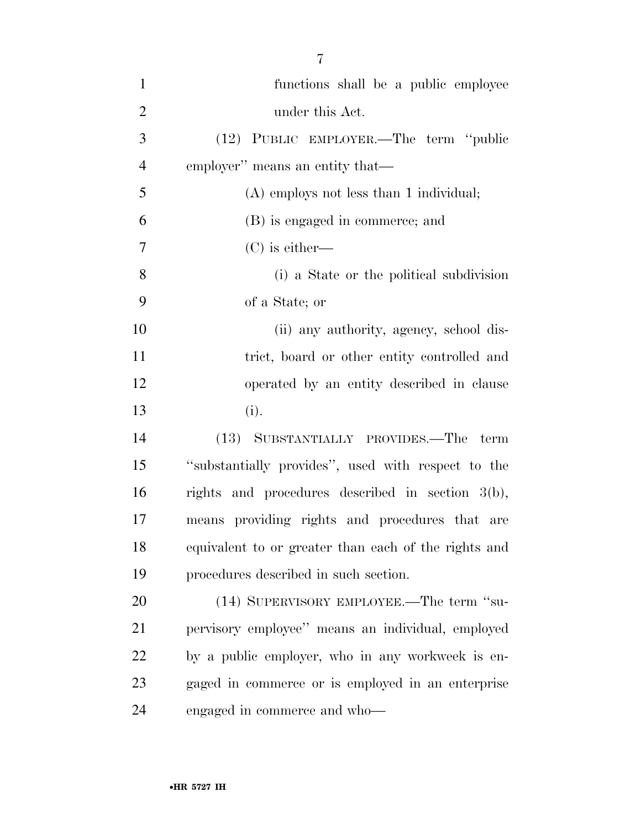| $\mathbf{1}$   | functions shall be a public employee                 |
|----------------|------------------------------------------------------|
| $\overline{2}$ | under this Act.                                      |
| 3              | (12) PUBLIC EMPLOYER.—The term "public               |
| $\overline{4}$ | employer" means an entity that—                      |
| 5              | $(A)$ employs not less than 1 individual;            |
| 6              | (B) is engaged in commerce; and                      |
| $\overline{7}$ | $(C)$ is either—                                     |
| 8              | (i) a State or the political subdivision             |
| 9              | of a State; or                                       |
| 10             | (ii) any authority, agency, school dis-              |
| 11             | trict, board or other entity controlled and          |
| 12             | operated by an entity described in clause            |
| 13             | (i).                                                 |
| 14             | (13) SUBSTANTIALLY PROVIDES.—The term                |
| 15             | "substantially provides", used with respect to the   |
| 16             | rights and procedures described in section $3(b)$ ,  |
| 17             | means providing rights and procedures that are       |
| 18             | equivalent to or greater than each of the rights and |
| 19             | procedures described in such section.                |
| 20             | (14) SUPERVISORY EMPLOYEE.—The term "su-             |
| 21             | pervisory employee" means an individual, employed    |
| 22             | by a public employer, who in any workweek is en-     |
| 23             | gaged in commerce or is employed in an enterprise    |
| 24             | engaged in commerce and who—                         |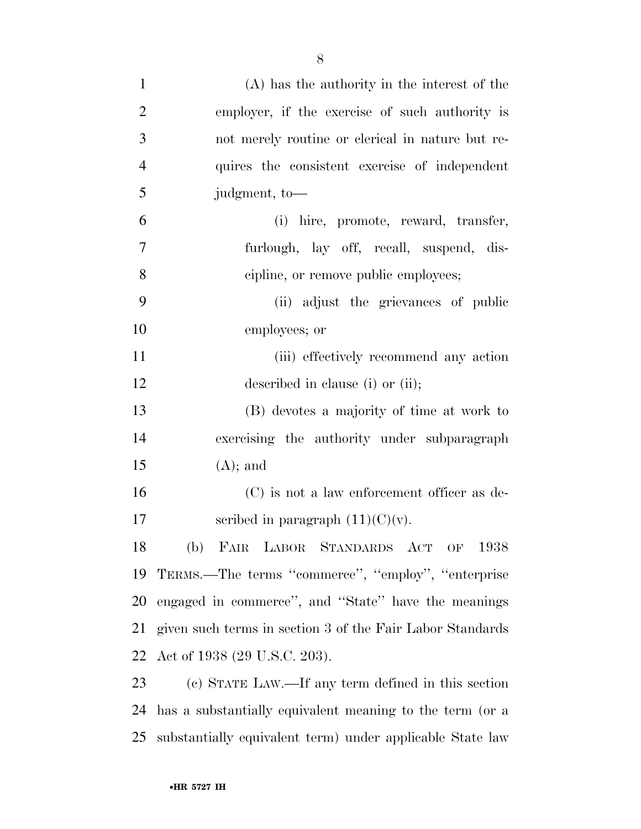| $\mathbf{1}$   | (A) has the authority in the interest of the              |
|----------------|-----------------------------------------------------------|
| $\overline{2}$ | employer, if the exercise of such authority is            |
| 3              | not merely routine or clerical in nature but re-          |
| $\overline{4}$ | quires the consistent exercise of independent             |
| 5              | judgment, to-                                             |
| 6              | (i) hire, promote, reward, transfer,                      |
| 7              | furlough, lay off, recall, suspend, dis-                  |
| 8              | cipline, or remove public employees;                      |
| 9              | (ii) adjust the grievances of public                      |
| 10             | employees; or                                             |
| 11             | (iii) effectively recommend any action                    |
| 12             | described in clause (i) or (ii);                          |
| 13             | (B) devotes a majority of time at work to                 |
| 14             | exercising the authority under subparagraph               |
| 15             | $(A);$ and                                                |
| 16             | (C) is not a law enforcement officer as de-               |
| 17             | scribed in paragraph $(11)(C)(v)$ .                       |
| 18             | FAIR LABOR STANDARDS ACT OF 1938<br>(b)                   |
| 19             | TERMS.—The terms "commerce", "employ", "enterprise        |
| <b>20</b>      | engaged in commerce", and "State" have the meanings       |
| 21             | given such terms in section 3 of the Fair Labor Standards |
| 22             | Act of 1938 (29 U.S.C. 203).                              |
| 23             | (c) STATE LAW.—If any term defined in this section        |
| 24             | has a substantially equivalent meaning to the term (or a  |
| 25             | substantially equivalent term) under applicable State law |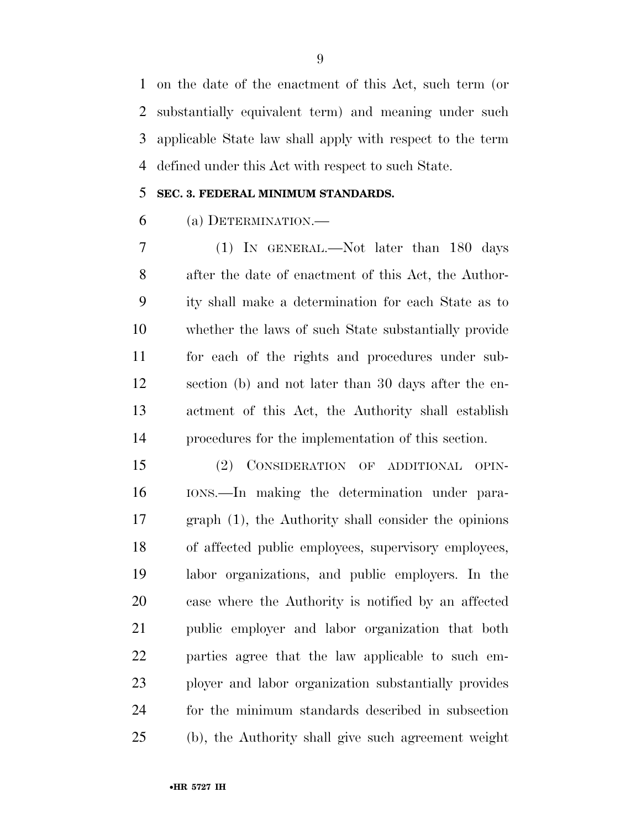on the date of the enactment of this Act, such term (or substantially equivalent term) and meaning under such applicable State law shall apply with respect to the term defined under this Act with respect to such State.

#### **SEC. 3. FEDERAL MINIMUM STANDARDS.**

(a) DETERMINATION.—

 (1) IN GENERAL.—Not later than 180 days after the date of enactment of this Act, the Author- ity shall make a determination for each State as to whether the laws of such State substantially provide for each of the rights and procedures under sub- section (b) and not later than 30 days after the en- actment of this Act, the Authority shall establish procedures for the implementation of this section.

 (2) CONSIDERATION OF ADDITIONAL OPIN- IONS.—In making the determination under para- graph (1), the Authority shall consider the opinions of affected public employees, supervisory employees, labor organizations, and public employers. In the case where the Authority is notified by an affected public employer and labor organization that both parties agree that the law applicable to such em- ployer and labor organization substantially provides for the minimum standards described in subsection (b), the Authority shall give such agreement weight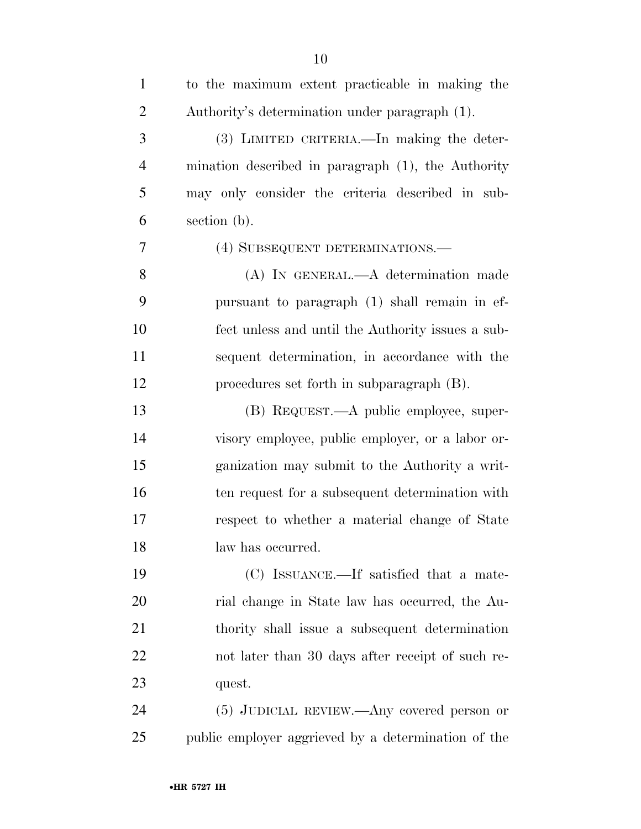| $\mathbf{1}$   | to the maximum extent practicable in making the     |
|----------------|-----------------------------------------------------|
| $\overline{2}$ | Authority's determination under paragraph (1).      |
| 3              | (3) LIMITED CRITERIA.—In making the deter-          |
| $\overline{4}$ | mination described in paragraph (1), the Authority  |
| 5              | may only consider the criteria described in sub-    |
| 6              | section (b).                                        |
| 7              | (4) SUBSEQUENT DETERMINATIONS.—                     |
| 8              | (A) IN GENERAL.—A determination made                |
| 9              | pursuant to paragraph (1) shall remain in ef-       |
| 10             | fect unless and until the Authority issues a sub-   |
| 11             | sequent determination, in accordance with the       |
| 12             | procedures set forth in subparagraph (B).           |
| 13             | (B) REQUEST.—A public employee, super-              |
| 14             | visory employee, public employer, or a labor or-    |
| 15             | ganization may submit to the Authority a writ-      |
| 16             | ten request for a subsequent determination with     |
| 17             | respect to whether a material change of State       |
| 18             | law has occurred.                                   |
| 19             | (C) ISSUANCE.—If satisfied that a mate-             |
| 20             | rial change in State law has occurred, the Au-      |
| 21             | thority shall issue a subsequent determination      |
| 22             | not later than 30 days after receipt of such re-    |
| 23             | quest.                                              |
| 24             | $(5)$ JUDICIAL REVIEW.—Any covered person or        |
| 25             | public employer aggrieved by a determination of the |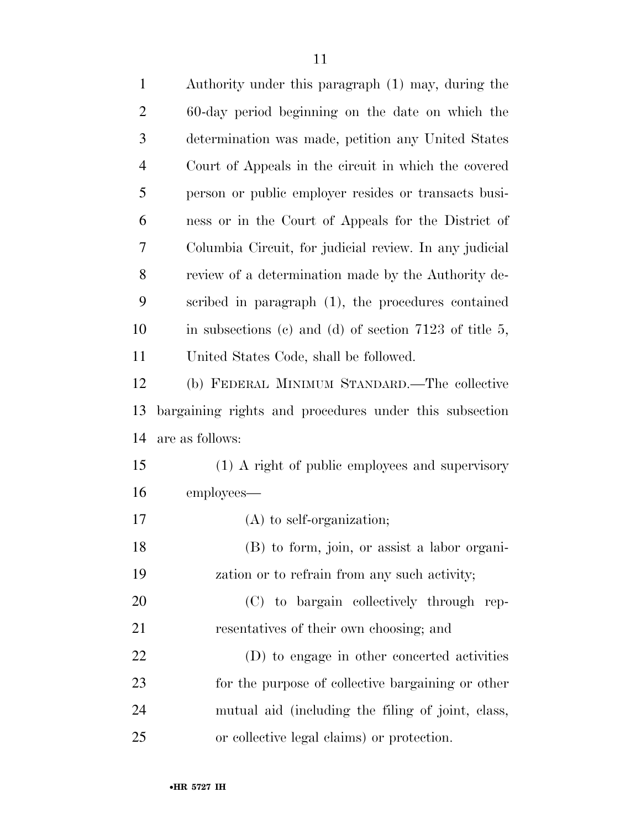| $\mathbf{1}$   | Authority under this paragraph (1) may, during the       |
|----------------|----------------------------------------------------------|
| $\overline{2}$ | 60-day period beginning on the date on which the         |
| 3              | determination was made, petition any United States       |
| $\overline{4}$ | Court of Appeals in the circuit in which the covered     |
| 5              | person or public employer resides or transacts busi-     |
| 6              | ness or in the Court of Appeals for the District of      |
| 7              | Columbia Circuit, for judicial review. In any judicial   |
| 8              | review of a determination made by the Authority de-      |
| 9              | scribed in paragraph (1), the procedures contained       |
| 10             | in subsections (c) and (d) of section $7123$ of title 5, |
| 11             | United States Code, shall be followed.                   |
| 12             | (b) FEDERAL MINIMUM STANDARD.—The collective             |
| 13             | bargaining rights and procedures under this subsection   |
| 14             | are as follows:                                          |
| 15             | (1) A right of public employees and supervisory          |
| 16             | employees—                                               |
| 17             | $(A)$ to self-organization;                              |
| 18             | (B) to form, join, or assist a labor organi-             |
| 19             | zation or to refrain from any such activity;             |
| 20             | (C) to bargain collectively through rep-                 |
| 21             | resentatives of their own choosing; and                  |
| 22             | (D) to engage in other concerted activities              |
| 23             | for the purpose of collective bargaining or other        |
| 24             | mutual aid (including the filing of joint, class,        |
| 25             | or collective legal claims) or protection.               |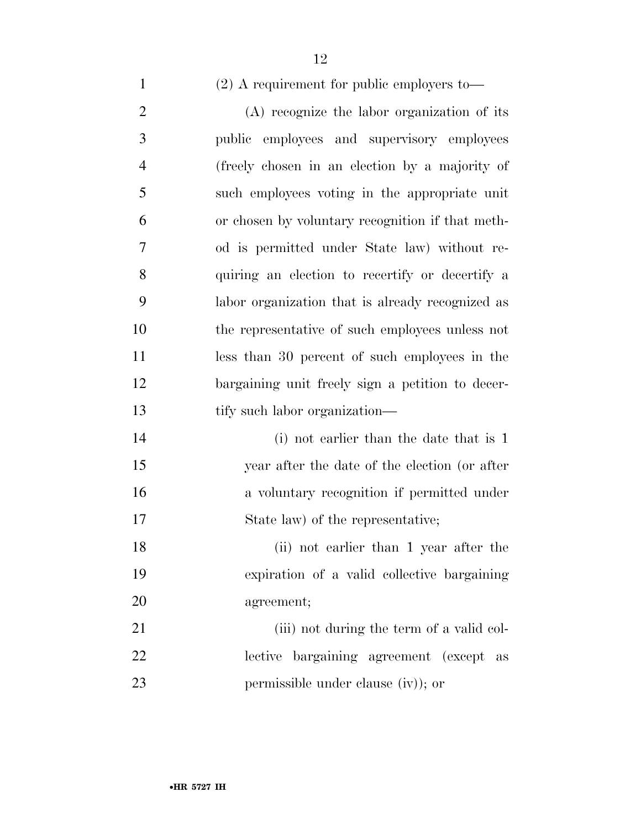- (2) A requirement for public employers to—
- (A) recognize the labor organization of its public employees and supervisory employees (freely chosen in an election by a majority of such employees voting in the appropriate unit or chosen by voluntary recognition if that meth- od is permitted under State law) without re- quiring an election to recertify or decertify a labor organization that is already recognized as the representative of such employees unless not less than 30 percent of such employees in the bargaining unit freely sign a petition to decer- tify such labor organization— 14 (i) not earlier than the date that is 1 year after the date of the election (or after a voluntary recognition if permitted under 17 State law) of the representative; (ii) not earlier than 1 year after the
- expiration of a valid collective bargaining agreement;
- 21 (iii) not during the term of a valid col- lective bargaining agreement (except as 23 permissible under clause (iv)); or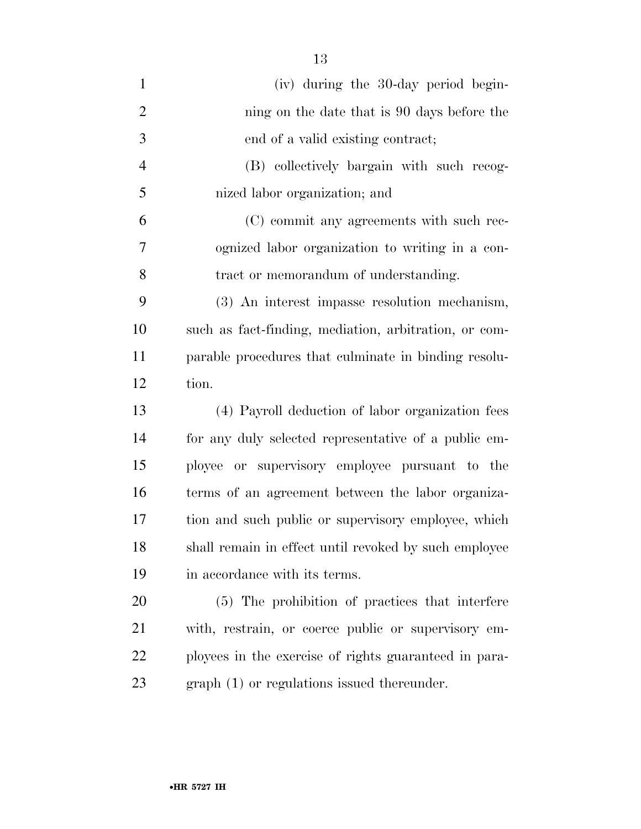| $\mathbf{1}$   | (iv) during the 30-day period begin-                  |
|----------------|-------------------------------------------------------|
| $\overline{2}$ | ning on the date that is 90 days before the           |
| 3              | end of a valid existing contract;                     |
| 4              | (B) collectively bargain with such recog-             |
| 5              | nized labor organization; and                         |
| 6              | (C) commit any agreements with such rec-              |
| 7              | ognized labor organization to writing in a con-       |
| 8              | tract or memorandum of understanding.                 |
| 9              | (3) An interest impasse resolution mechanism,         |
| 10             | such as fact-finding, mediation, arbitration, or com- |
| 11             | parable procedures that culminate in binding resolu-  |
| 12             | tion.                                                 |
| 13             | (4) Payroll deduction of labor organization fees      |
| 14             | for any duly selected representative of a public em-  |
| 15             | ployee or supervisory employee pursuant to the        |
| 16             | terms of an agreement between the labor organiza-     |
| 17             | tion and such public or supervisory employee, which   |
| 18             | shall remain in effect until revoked by such employee |
| 19             | in accordance with its terms.                         |
| 20             | (5) The prohibition of practices that interfere       |
| 21             | with, restrain, or coerce public or supervisory em-   |
| 22             | ployees in the exercise of rights guaranteed in para- |
| 23             | $graph(1)$ or regulations issued thereunder.          |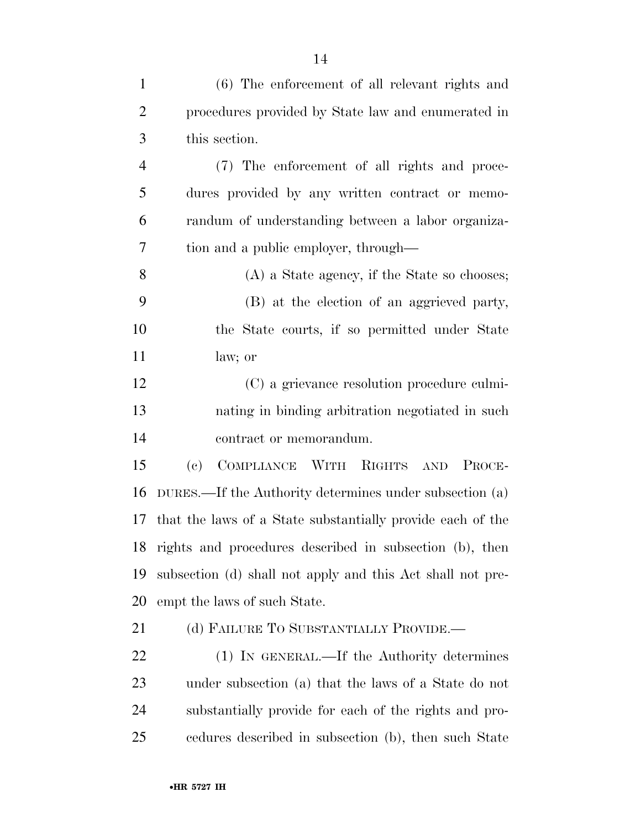| $\mathbf{1}$   | (6) The enforcement of all relevant rights and                     |
|----------------|--------------------------------------------------------------------|
| $\overline{2}$ | procedures provided by State law and enumerated in                 |
| 3              | this section.                                                      |
| $\overline{4}$ | (7) The enforcement of all rights and proce-                       |
| 5              | dures provided by any written contract or memo-                    |
| 6              | randum of understanding between a labor organiza-                  |
| 7              | tion and a public employer, through—                               |
| 8              | (A) a State agency, if the State so chooses;                       |
| 9              | (B) at the election of an aggrieved party,                         |
| 10             | the State courts, if so permitted under State                      |
| 11             | law; or                                                            |
| 12             | (C) a grievance resolution procedure culmi-                        |
| 13             | nating in binding arbitration negotiated in such                   |
| 14             | contract or memorandum.                                            |
| 15             | COMPLIANCE WITH RIGHTS AND<br>$\left( \mathrm{e}\right)$<br>PROCE- |
| 16             | DURES.—If the Authority determines under subsection (a)            |
| 17             | that the laws of a State substantially provide each of the         |
| 18             | rights and procedures described in subsection (b), then            |
| 19             | subsection (d) shall not apply and this Act shall not pre-         |
| 20             | empt the laws of such State.                                       |
| 21             | (d) FAILURE TO SUBSTANTIALLY PROVIDE.—                             |
| 22             | (1) IN GENERAL.—If the Authority determines                        |
| 23             | under subsection (a) that the laws of a State do not               |
| 24             | substantially provide for each of the rights and pro-              |

cedures described in subsection (b), then such State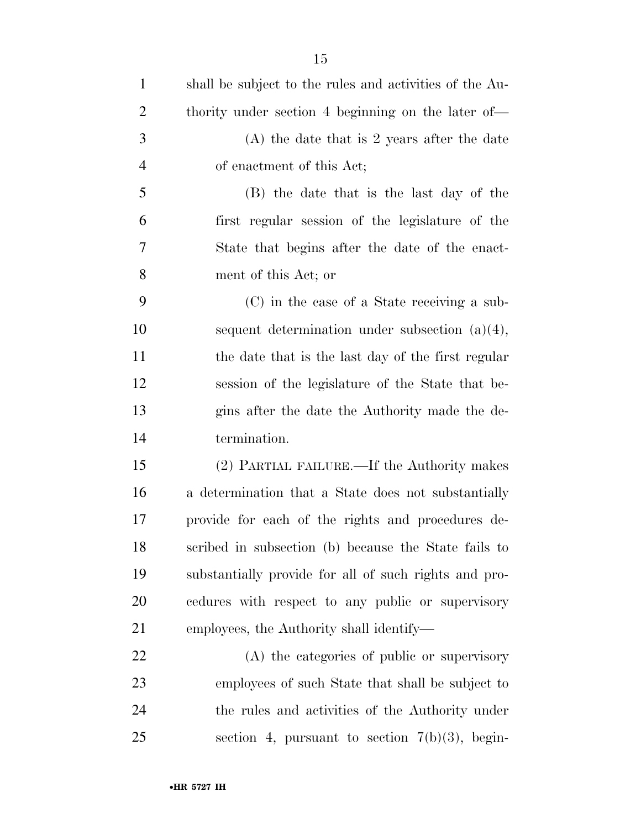| $\mathbf{1}$   | shall be subject to the rules and activities of the Au- |
|----------------|---------------------------------------------------------|
| $\overline{2}$ | thority under section 4 beginning on the later of—      |
| 3              | $(A)$ the date that is 2 years after the date           |
| $\overline{4}$ | of enactment of this Act;                               |
| 5              | (B) the date that is the last day of the                |
| 6              | first regular session of the legislature of the         |
| 7              | State that begins after the date of the enact-          |
| 8              | ment of this Act; or                                    |
| 9              | (C) in the case of a State receiving a sub-             |
| 10             | sequent determination under subsection $(a)(4)$ ,       |
| 11             | the date that is the last day of the first regular      |
| 12             | session of the legislature of the State that be-        |
| 13             | gins after the date the Authority made the de-          |
| 14             | termination.                                            |
| 15             | (2) PARTIAL FAILURE.—If the Authority makes             |
| 16             | a determination that a State does not substantially     |
| 17             | provide for each of the rights and procedures de-       |
| 18             | scribed in subsection (b) because the State fails to    |
| 19             | substantially provide for all of such rights and pro-   |
| 20             | cedures with respect to any public or supervisory       |
| 21             | employees, the Authority shall identify—                |
| 22             | (A) the categories of public or supervisory             |
| 23             | employees of such State that shall be subject to        |
| 24             | the rules and activities of the Authority under         |
| 25             | section 4, pursuant to section $7(b)(3)$ , begin-       |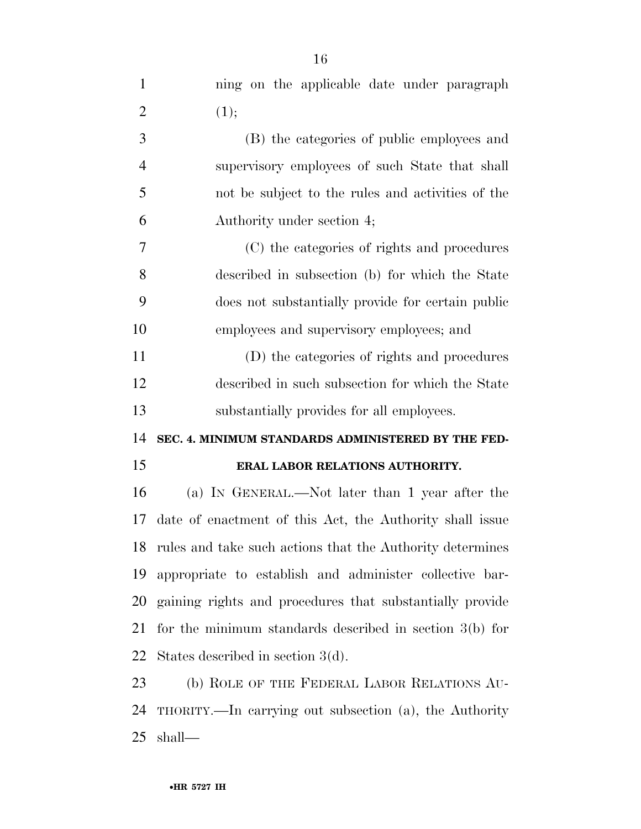| $\mathbf{1}$   | ning on the applicable date under paragraph                  |
|----------------|--------------------------------------------------------------|
| $\overline{2}$ | (1);                                                         |
| 3              | (B) the categories of public employees and                   |
| $\overline{4}$ | supervisory employees of such State that shall               |
| 5              | not be subject to the rules and activities of the            |
| 6              | Authority under section 4;                                   |
| 7              | (C) the categories of rights and procedures                  |
| 8              | described in subsection (b) for which the State              |
| 9              | does not substantially provide for certain public            |
| 10             | employees and supervisory employees; and                     |
| 11             | (D) the categories of rights and procedures                  |
| 12             | described in such subsection for which the State             |
| 13             | substantially provides for all employees.                    |
| 14             | SEC. 4. MINIMUM STANDARDS ADMINISTERED BY THE FED-           |
| 15             | ERAL LABOR RELATIONS AUTHORITY.                              |
| 16             | (a) IN GENERAL.—Not later than 1 year after the              |
| 17             | date of enactment of this Act, the Authority shall issue     |
|                | 18 rules and take such actions that the Authority determines |
| 19             | appropriate to establish and administer collective bar-      |
| 20             | gaining rights and procedures that substantially provide     |
| 21             | for the minimum standards described in section $3(b)$ for    |
| 22             | States described in section $3(d)$ .                         |
| 23             | (b) ROLE OF THE FEDERAL LABOR RELATIONS AU-                  |
| 24             | THORITY.—In carrying out subsection (a), the Authority       |
| 25             | shall—                                                       |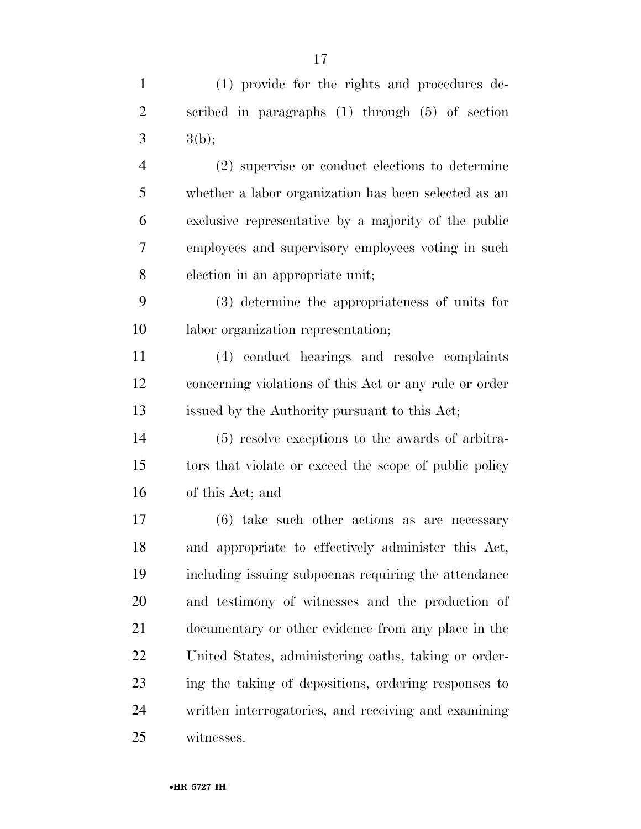(1) provide for the rights and procedures de- scribed in paragraphs (1) through (5) of section 3  $3(b)$ ; (2) supervise or conduct elections to determine whether a labor organization has been selected as an exclusive representative by a majority of the public employees and supervisory employees voting in such election in an appropriate unit; (3) determine the appropriateness of units for labor organization representation; (4) conduct hearings and resolve complaints concerning violations of this Act or any rule or order issued by the Authority pursuant to this Act; (5) resolve exceptions to the awards of arbitra- tors that violate or exceed the scope of public policy of this Act; and (6) take such other actions as are necessary and appropriate to effectively administer this Act, including issuing subpoenas requiring the attendance and testimony of witnesses and the production of documentary or other evidence from any place in the United States, administering oaths, taking or order- ing the taking of depositions, ordering responses to written interrogatories, and receiving and examining witnesses.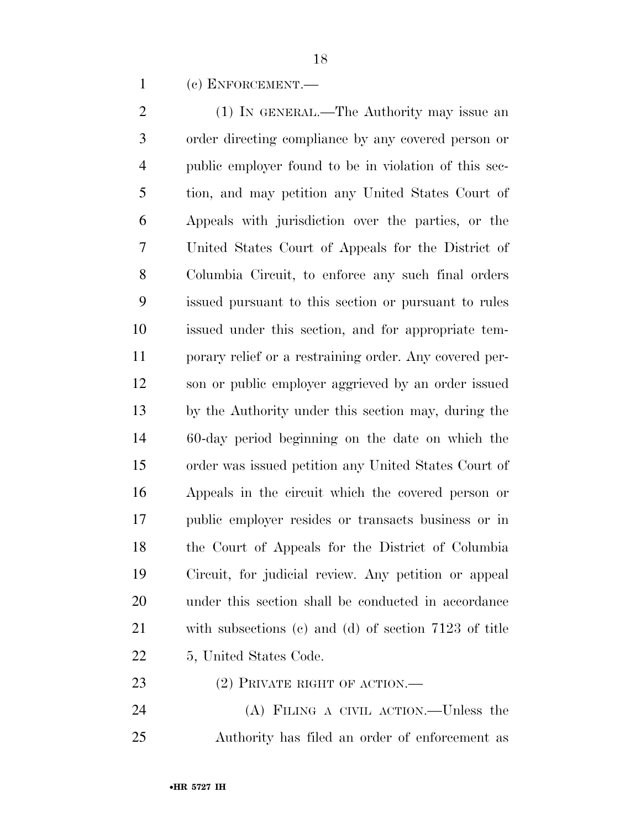(c) ENFORCEMENT.—

 (1) IN GENERAL.—The Authority may issue an order directing compliance by any covered person or public employer found to be in violation of this sec- tion, and may petition any United States Court of Appeals with jurisdiction over the parties, or the United States Court of Appeals for the District of Columbia Circuit, to enforce any such final orders issued pursuant to this section or pursuant to rules issued under this section, and for appropriate tem- porary relief or a restraining order. Any covered per- son or public employer aggrieved by an order issued by the Authority under this section may, during the 60-day period beginning on the date on which the order was issued petition any United States Court of Appeals in the circuit which the covered person or public employer resides or transacts business or in the Court of Appeals for the District of Columbia Circuit, for judicial review. Any petition or appeal under this section shall be conducted in accordance with subsections (c) and (d) of section 7123 of title 5, United States Code.

23 (2) PRIVATE RIGHT OF ACTION.—

 (A) FILING A CIVIL ACTION.—Unless the Authority has filed an order of enforcement as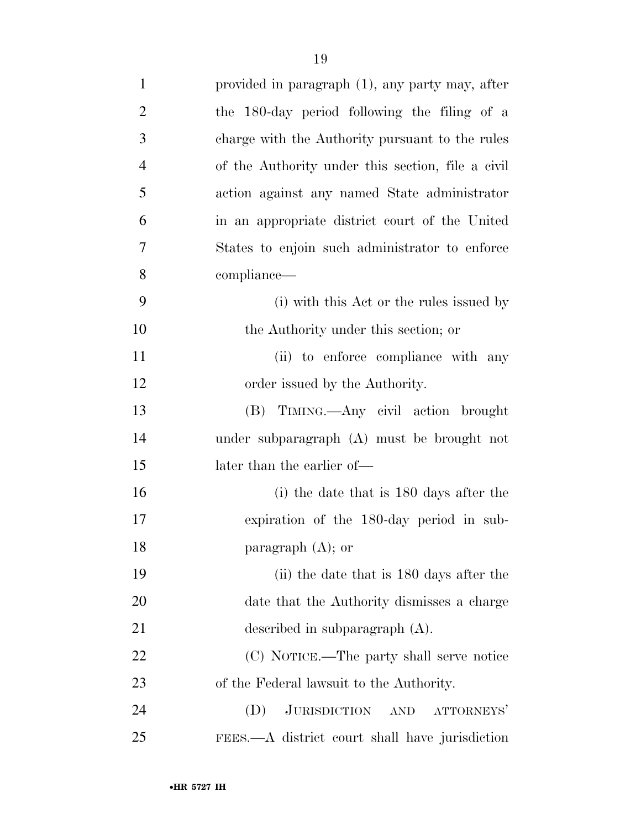| $\mathbf{1}$   | provided in paragraph (1), any party may, after   |
|----------------|---------------------------------------------------|
| $\overline{2}$ | the 180-day period following the filing of a      |
| 3              | charge with the Authority pursuant to the rules   |
| $\overline{4}$ | of the Authority under this section, file a civil |
| 5              | action against any named State administrator      |
| 6              | in an appropriate district court of the United    |
| 7              | States to enjoin such administrator to enforce    |
| 8              | compliance—                                       |
| 9              | (i) with this Act or the rules issued by          |
| 10             | the Authority under this section; or              |
| 11             | (ii) to enforce compliance with any               |
| 12             | order issued by the Authority.                    |
| 13             | (B) TIMING.—Any civil action brought              |
| 14             | under subparagraph (A) must be brought not        |
| 15             | later than the earlier of—                        |
| 16             | $(i)$ the date that is 180 days after the         |
| 17             | expiration of the 180-day period in sub-          |
| 18             | paragraph $(A)$ ; or                              |
| 19             | (ii) the date that is 180 days after the          |
| 20             | date that the Authority dismisses a charge        |
| 21             | described in subparagraph $(A)$ .                 |
| 22             | (C) NOTICE.—The party shall serve notice          |
| 23             | of the Federal lawsuit to the Authority.          |
| 24             | ATTORNEYS'<br><b>JURISDICTION</b><br>(D)<br>AND   |
| 25             | FEES.—A district court shall have jurisdiction    |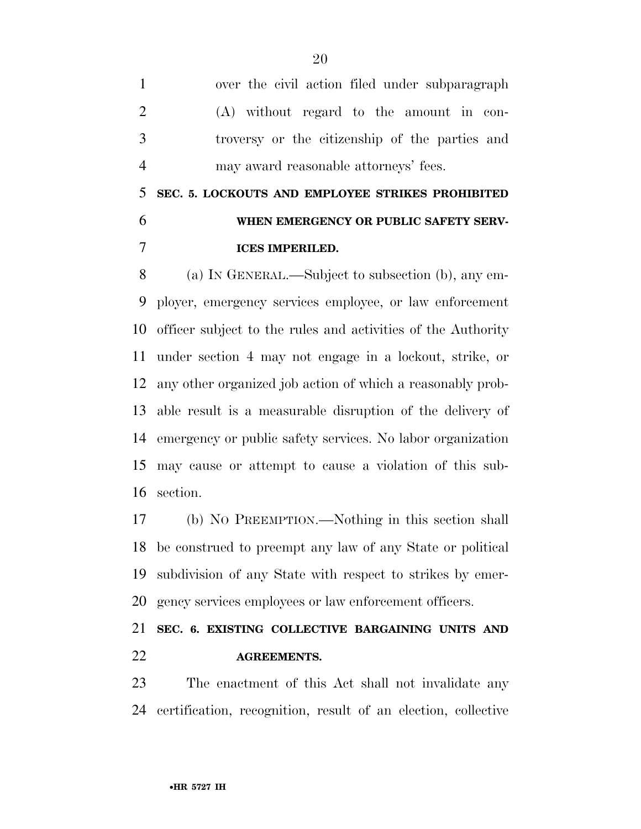over the civil action filed under subparagraph (A) without regard to the amount in con- troversy or the citizenship of the parties and may award reasonable attorneys' fees.

 **SEC. 5. LOCKOUTS AND EMPLOYEE STRIKES PROHIBITED WHEN EMERGENCY OR PUBLIC SAFETY SERV-ICES IMPERILED.** 

 (a) IN GENERAL.—Subject to subsection (b), any em- ployer, emergency services employee, or law enforcement officer subject to the rules and activities of the Authority under section 4 may not engage in a lockout, strike, or any other organized job action of which a reasonably prob- able result is a measurable disruption of the delivery of emergency or public safety services. No labor organization may cause or attempt to cause a violation of this sub-section.

 (b) NO PREEMPTION.—Nothing in this section shall be construed to preempt any law of any State or political subdivision of any State with respect to strikes by emer-gency services employees or law enforcement officers.

## **SEC. 6. EXISTING COLLECTIVE BARGAINING UNITS AND AGREEMENTS.**

 The enactment of this Act shall not invalidate any certification, recognition, result of an election, collective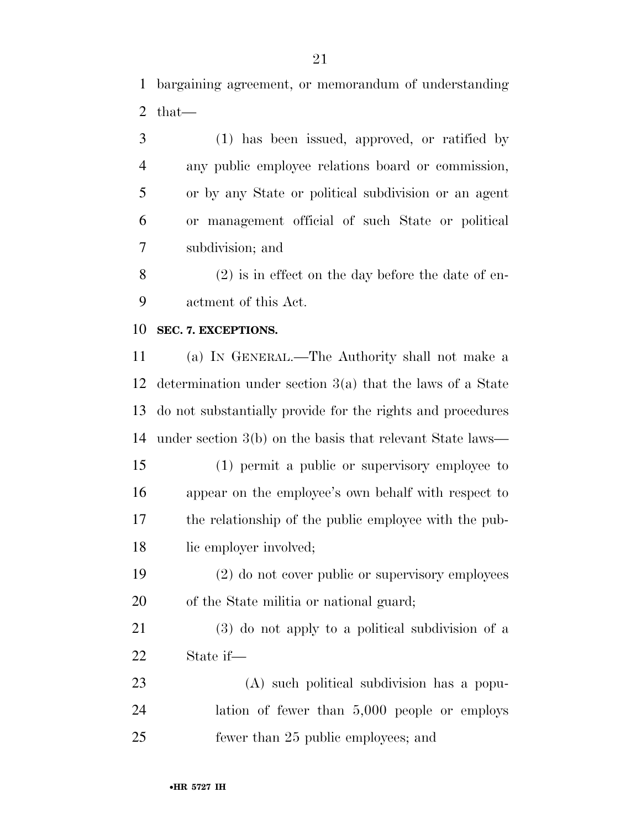bargaining agreement, or memorandum of understanding that—

 (1) has been issued, approved, or ratified by any public employee relations board or commission, or by any State or political subdivision or an agent or management official of such State or political subdivision; and

 (2) is in effect on the day before the date of en-actment of this Act.

#### **SEC. 7. EXCEPTIONS.**

 (a) IN GENERAL.—The Authority shall not make a determination under section 3(a) that the laws of a State do not substantially provide for the rights and procedures under section 3(b) on the basis that relevant State laws—

 (1) permit a public or supervisory employee to appear on the employee's own behalf with respect to the relationship of the public employee with the pub-18 lic employer involved;

 (2) do not cover public or supervisory employees of the State militia or national guard;

 (3) do not apply to a political subdivision of a State if—

 (A) such political subdivision has a popu- lation of fewer than 5,000 people or employs fewer than 25 public employees; and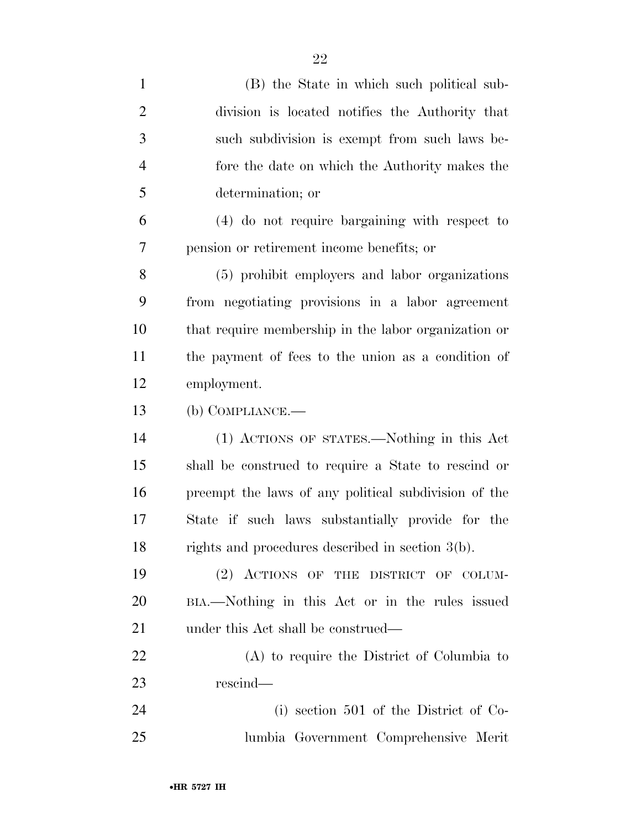| $\mathbf{1}$   | (B) the State in which such political sub-           |
|----------------|------------------------------------------------------|
| $\overline{2}$ | division is located notifies the Authority that      |
| 3              | such subdivision is exempt from such laws be-        |
| $\overline{4}$ | fore the date on which the Authority makes the       |
| 5              | determination; or                                    |
| 6              | (4) do not require bargaining with respect to        |
| 7              | pension or retirement income benefits; or            |
| 8              | (5) prohibit employers and labor organizations       |
| 9              | from negotiating provisions in a labor agreement     |
| 10             | that require membership in the labor organization or |
| 11             | the payment of fees to the union as a condition of   |
| 12             | employment.                                          |
| 13             | (b) COMPLIANCE.-                                     |
| 14             | (1) ACTIONS OF STATES.—Nothing in this Act           |
| 15             | shall be construed to require a State to rescind or  |
| 16             | preempt the laws of any political subdivision of the |
| 17             | State if such laws substantially provide for the     |
| 18             | rights and procedures described in section 3(b).     |
| 19             | (2) ACTIONS OF THE DISTRICT OF COLUM-                |
| 20             | BIA.—Nothing in this Act or in the rules issued      |
| 21             | under this Act shall be construed—                   |
| 22             | (A) to require the District of Columbia to           |
| 23             | rescind—                                             |
| 24             | (i) section 501 of the District of Co-               |
| 25             | lumbia Government Comprehensive Merit                |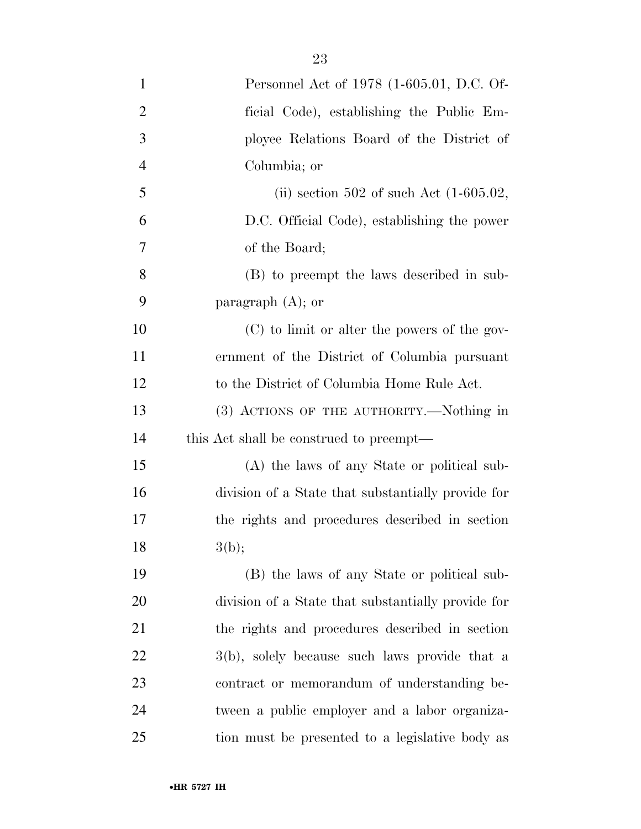| $\mathbf{1}$   | Personnel Act of 1978 (1-605.01, D.C. Of-          |
|----------------|----------------------------------------------------|
| $\overline{2}$ | ficial Code), establishing the Public Em-          |
| 3              | ployee Relations Board of the District of          |
| $\overline{4}$ | Columbia; or                                       |
| 5              | (ii) section 502 of such Act $(1-605.02,$          |
| 6              | D.C. Official Code), establishing the power        |
| 7              | of the Board;                                      |
| 8              | (B) to preempt the laws described in sub-          |
| 9              | paragraph $(A)$ ; or                               |
| 10             | (C) to limit or alter the powers of the gov-       |
| 11             | ernment of the District of Columbia pursuant       |
| 12             | to the District of Columbia Home Rule Act.         |
| 13             | (3) ACTIONS OF THE AUTHORITY.—Nothing in           |
| 14             | this Act shall be construed to preempt—            |
| 15             | (A) the laws of any State or political sub-        |
| 16             | division of a State that substantially provide for |
| 17             | the rights and procedures described in section     |
| 18             | 3(b);                                              |
| 19             | (B) the laws of any State or political sub-        |
| 20             | division of a State that substantially provide for |
| 21             | the rights and procedures described in section     |
| 22             | 3(b), solely because such laws provide that a      |
| 23             | contract or memorandum of understanding be-        |
| 24             | tween a public employer and a labor organiza-      |
| 25             | tion must be presented to a legislative body as    |